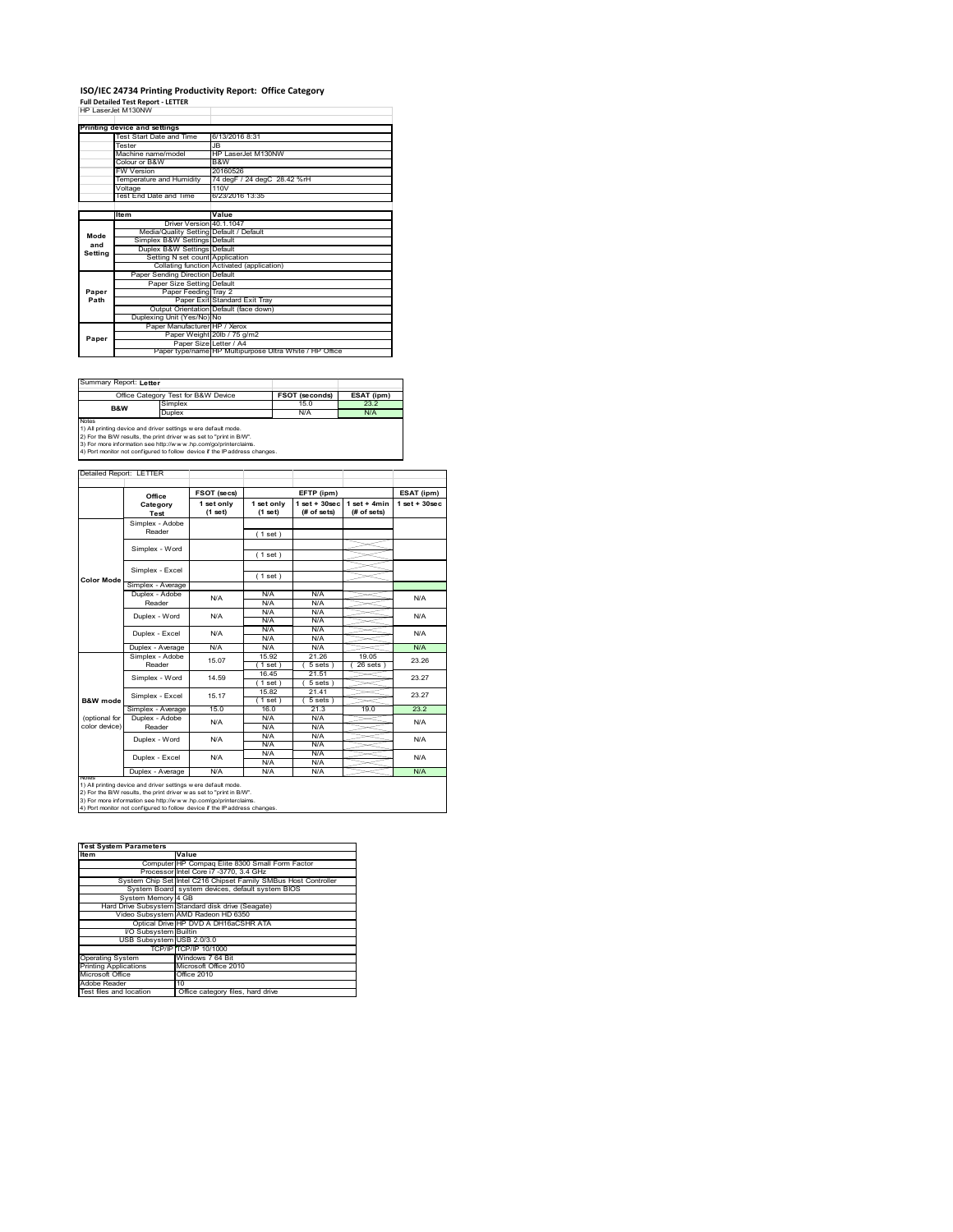# **ISO/IEC 24734 Printing Productivity Report: Office Category Full Detailed Test Report ‐ LETTER** HP LaserJet M130NW

|         | HP Laser let M130NW                     |                                                         |
|---------|-----------------------------------------|---------------------------------------------------------|
|         | Printing device and settings            |                                                         |
|         | Test Start Date and Time                | 6/13/2016 8:31                                          |
|         | Tester                                  | .IR                                                     |
|         | Machine name/model                      | HP LaserJet M130NW                                      |
|         | Colour or B&W                           | B&W                                                     |
|         | <b>FW Version</b>                       | 20160526                                                |
|         | Temperature and Humidity                | 74 degF / 24 degC 28.42 %rH                             |
|         | Voltage                                 | 110V                                                    |
|         | Test End Date and Time                  | 6/23/2016 13:35                                         |
|         |                                         |                                                         |
|         | <b>Item</b>                             | Value                                                   |
|         | Driver Version 40.1.1047                |                                                         |
| Mode    | Media/Quality Setting Default / Default |                                                         |
| and     | Simplex B&W Settings Default            |                                                         |
| Settina | Duplex B&W Settings Default             |                                                         |
|         | Setting N set count Application         |                                                         |
|         |                                         | Collating function Activated (application)              |
|         | Paper Sending Direction Default         |                                                         |
|         | Paper Size Setting Default              |                                                         |
| Paper   | Paper Feeding Tray 2                    |                                                         |
| Path    |                                         | Paper Exit Standard Exit Tray                           |
|         |                                         | Output Orientation Default (face down)                  |
|         | Duplexing Unit (Yes/No) No              |                                                         |
|         | Paper Manufacturer HP / Xerox           |                                                         |
| Paper   |                                         | Paper Weight 20lb / 75 g/m2                             |
|         | Paper Size Letter / A4                  |                                                         |
|         |                                         | Paper type/name HP Multipurpose Ultra White / HP Office |

Summary Report: **Letter**

|                                                                                                       | Office Category Test for B&W Device | <b>FSOT (seconds)</b> | ESAT (ipm) |  |  |
|-------------------------------------------------------------------------------------------------------|-------------------------------------|-----------------------|------------|--|--|
| B&W                                                                                                   | Simplex                             | 15.0                  | 23.2       |  |  |
|                                                                                                       | Duplex                              | N/A                   | N/A        |  |  |
| <b>Notes</b><br>LAN All actualizes shouldness would shake a contribution country shakes the secondary |                                     |                       |            |  |  |
|                                                                                                       |                                     |                       |            |  |  |

Notes<br>1) All printing device and driver settings were default mode.<br>2) For the BAV results, the print driver was set to "print in BAV".<br>3) For more information see http://www.hp.com/go/printerclaims.<br>4) Por monitor not con

| Detailed Report: LETTER |          |                    |            |            |                                                   |
|-------------------------|----------|--------------------|------------|------------|---------------------------------------------------|
|                         |          |                    |            |            |                                                   |
|                         | Office   | <b>FSOT (secs)</b> |            | EFTP (ipm) | ESAT (ipm)                                        |
|                         | Category | 1 set only         | 1 set only |            | $1$ set + 30 sec $1$ set + 4 min $1$ set + 30 sec |

|                                | Category<br>Test                                               | 1 set only<br>(1 set) | 1 set only<br>(1 set) | $1 set + 30 sec$<br>(# of sets) | $1 set + 4 min$<br>(# of sets) | $1$ set + $30$ sec |
|--------------------------------|----------------------------------------------------------------|-----------------------|-----------------------|---------------------------------|--------------------------------|--------------------|
|                                | Simplex - Adobe<br>Reader                                      |                       | (1 set)               |                                 |                                |                    |
|                                | Simplex - Word                                                 |                       |                       |                                 |                                |                    |
|                                |                                                                |                       | (1 set)               |                                 |                                |                    |
| <b>Color Mode</b>              | Simplex - Excel                                                |                       | (1 set)               |                                 |                                |                    |
|                                | Simplex - Average                                              |                       |                       |                                 |                                |                    |
|                                | Duplex - Adobe<br>Reader                                       | N/A                   | N/A<br>N/A            | N/A<br>N/A                      |                                | N/A                |
|                                | Duplex - Word                                                  | N/A                   | N/A<br>N/A            | N/A<br>N/A                      |                                | N/A                |
|                                | Duplex - Excel                                                 | N/A                   | N/A<br>N/A            | N/A<br>N/A                      |                                | N/A                |
|                                | Duplex - Average                                               | N/A                   | N/A                   | N/A                             |                                | N/A                |
|                                | Simplex - Adobe                                                | 15.07                 | 15.92                 | 21.26                           | 19.05                          | 23.26              |
|                                | Reader                                                         |                       | $1$ set)              | $5 sets$ )                      | $26$ sets $)$                  |                    |
|                                | Simplex - Word                                                 | 14.59                 | 16.45<br>1 set)       | 21.51<br>$5 sets$ )             |                                | 23.27              |
|                                |                                                                |                       | 15.82                 | 2141                            |                                |                    |
| <b>B&amp;W</b> mode            | Simplex - Excel                                                | 15.17                 | $1$ set)              | 5 sets)                         |                                | 23.27              |
|                                | Simplex - Average                                              | 15.0                  | 16.0                  | 21.3                            | 19.0                           | 23.2               |
| (optional for<br>color device) | Duplex - Adobe<br>Reader                                       | N/A                   | N/A<br>N/A            | N/A<br>N/A                      |                                | N/A                |
|                                | Duplex - Word                                                  | N/A                   | N/A<br>N/A            | N/A<br>N/A                      |                                | N/A                |
|                                | Duplex - Excel                                                 | N/A                   | N/A<br>N/A            | N/A<br>N/A                      |                                | N/A                |
|                                | Duplex - Average                                               | N/A                   | N/A                   | N/A                             |                                | N/A                |
| <b>NOtes</b>                   | 1) All printing device and driver settings w ere default mode. |                       |                       |                                 |                                |                    |

1) All printing device and driver settings were default mode.<br>2) For the B/W results, the print driver was set to "print in B/W".<br>3) For more information see http://www.hp.com/go/printerclaims.<br>4) Port monitor not configur

| <b>Test System Parameters</b> |                                                                 |
|-------------------------------|-----------------------------------------------------------------|
| <b>Item</b>                   | Value                                                           |
|                               | Computer HP Compaq Elite 8300 Small Form Factor                 |
|                               | Processor Intel Core i7 -3770, 3.4 GHz                          |
|                               | System Chip Set Intel C216 Chipset Family SMBus Host Controller |
|                               | System Board system devices, default system BIOS                |
| System Memory 4 GB            |                                                                 |
|                               | Hard Drive Subsystem Standard disk drive (Seagate)              |
|                               | Video Subsystem AMD Radeon HD 6350                              |
|                               | Optical Drive HP DVD A DH16aCSHR ATA                            |
| VO Subsystem Builtin          |                                                                 |
| USB Subsystem USB 2.0/3.0     |                                                                 |
|                               | TCP/IP TCP/IP 10/1000                                           |
| <b>Operating System</b>       | Windows 7 64 Bit                                                |
| <b>Printing Applications</b>  | Microsoft Office 2010                                           |
| Microsoft Office              | Office 2010                                                     |
| Adobe Reader                  | 10                                                              |
| Test files and location       | Office category files, hard drive                               |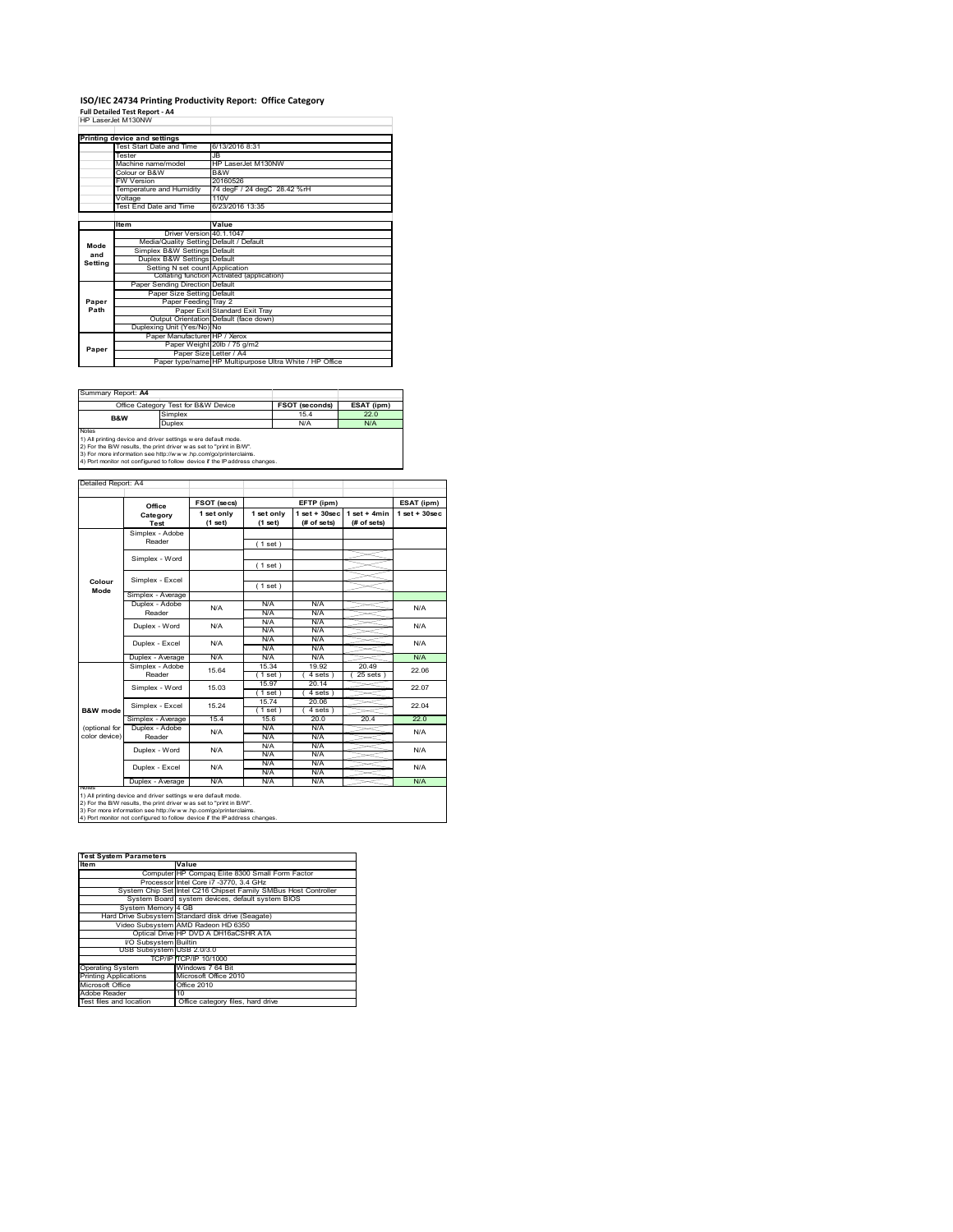## **ISO/IEC 24734 Printing Productivity Report: Office Category<br>Full Detailed Test Report - A4<br>HP LaserJet M130NW**

|         | Printing device and settings            |                                                         |
|---------|-----------------------------------------|---------------------------------------------------------|
|         | Test Start Date and Time                | 6/13/2016 8:31                                          |
|         | Tester                                  | <b>JB</b>                                               |
|         | Machine name/model                      | HP LaserJet M130NW                                      |
|         | Colour or B&W                           | B&W                                                     |
|         | <b>FW Version</b>                       | 20160526                                                |
|         | Temperature and Humidity                | 74 degF / 24 degC 28.42 %rH                             |
|         | Voltage                                 | 110V                                                    |
|         | Test End Date and Time                  | 6/23/2016 13:35                                         |
|         |                                         |                                                         |
|         | Item                                    | Value                                                   |
|         | Driver Version 40.1.1047                |                                                         |
| Mode    | Media/Quality Setting Default / Default |                                                         |
| and     | Simplex B&W Settings Default            |                                                         |
| Setting | Duplex B&W Settings Default             |                                                         |
|         | Setting N set count Application         |                                                         |
|         |                                         | Collating function Activated (application)              |
|         | Paper Sending Direction Default         |                                                         |
|         | Paper Size Setting Default              |                                                         |
| Paper   | Paper Feeding Tray 2                    |                                                         |
| Path    |                                         | Paper Exit Standard Exit Tray                           |
|         |                                         | Output Orientation Default (face down)                  |
|         | Duplexing Unit (Yes/No) No              |                                                         |
|         | Paper Manufacturer HP / Xerox           |                                                         |
| Paper   |                                         | Paper Weight 20lb / 75 g/m2                             |
|         | Paper Size Letter / A4                  |                                                         |
|         |                                         | Paper type/name HP Multipurpose Ultra White / HP Office |

Summary Report: **A4**

|       | Office Category Test for B&W Device | <b>FSOT (seconds)</b> | ESAT (ipm) |
|-------|-------------------------------------|-----------------------|------------|
| B&W   | Simplex                             | 15.4                  | 22.0       |
|       | Duplex                              | N/A                   | N/A        |
| Notes |                                     |                       |            |

Notes<br>1) All printing device and driver settings were default mode.<br>2) For the B/W results, the print driver was set to "print in B/W".<br>3) For more information see http://www.hp.com/go/printerclaims.<br>4) Por monitor not con

Detailed Report: A4

|                     | Office            | FSOT (secs) |             | EFTP (ipm)        |                | ESAT (ipm)        |
|---------------------|-------------------|-------------|-------------|-------------------|----------------|-------------------|
|                     | Category          | 1 set only  | 1 set only  | $1$ set $+30$ sec | $1$ set + 4min | $1$ set $+30$ sec |
|                     | Test              | $(1$ set)   | (1 set)     | (# of sets)       | (# of sets)    |                   |
|                     | Simplex - Adobe   |             |             |                   |                |                   |
|                     | Reader            |             | (1 set)     |                   |                |                   |
|                     | Simplex - Word    |             |             |                   |                |                   |
|                     |                   |             | (1 set)     |                   |                |                   |
|                     | Simplex - Excel   |             |             |                   |                |                   |
| Colour<br>Mode      |                   |             | (1 set)     |                   |                |                   |
|                     | Simplex - Average |             |             |                   |                |                   |
|                     | Duplex - Adobe    | N/A         | N/A         | N/A               |                | N/A               |
|                     | Reader            |             | N/A         | N/A               |                |                   |
|                     | Duplex - Word     | N/A         | N/A         | N/A               |                | N/A               |
|                     |                   |             | N/A         | N/A               |                |                   |
|                     | Duplex - Excel    | N/A         | N/A         | N/A               |                | N/A               |
|                     |                   |             | N/A         | N/A               |                |                   |
|                     | Duplex - Average  | N/A         | N/A         | N/A               |                | N/A               |
|                     | Simplex - Adobe   | 15.64       | 15.34       | 19.92             | 20.49          | 22.06             |
|                     | Reader            |             | (1 set)     | 4 sets 1          | $25$ sets      |                   |
|                     | Simplex - Word    | 15.03       | 15.97       | 20 14             |                | 22.07             |
|                     |                   |             | (1 set)     | 4 sets            |                |                   |
|                     | Simplex - Excel   | 15 24       | 1574        | 20.06             |                | 22.04             |
| <b>B&amp;W</b> mode |                   |             | $1$ set $)$ | 4 sets            |                |                   |
|                     | Simplex - Average | 15.4        | 15.6        | 20.0              | 20.4           | 22.0              |
| (optional for       | Duplex - Adobe    | N/A         | N/A         | N/A               |                | N/A               |
| color device)       | Reader            |             | N/A         | N/A               |                |                   |
|                     | Duplex - Word     | N/A         | N/A         | N/A               |                | N/A               |
|                     |                   |             | N/A         | N/A               |                |                   |
|                     |                   | N/A         | N/A         | N/A               |                | N/A               |
|                     | Duplex - Excel    |             | N/A         | N/A               |                |                   |
|                     | Duplex - Average  | N/A         | N/A         | N/A               |                | N/A               |

1) All printing device and driver settings were default mode.<br>2) For the B/W results, the print driver was set to "print in B/W".<br>3) For more information see http://www.hp.com/go/printerclaims.<br>4) Port monitor not configur

#### **Item Value Test System Parameters**Computer HP Compaq Elite 8300 Small Form Factor<br>Processor Intel Core i7 -3770, 3.4 GHz<br>System Chip Set Intel C216 Chipset Family SMBus Host Controller<br>System Board system devices, default system BIOS yst Hard Drive Subsystem Standard disk drive (Seagate) Video Subsystem AMD Radeon HD 6350 Optical Drive HP DVD A DH16aCSHR ATA I/O Subsystem Builtin USB Subs TCP/IP TCP/IP 10/1000 ting Syster ws 7 64 Bit<br>oft Office 20 Microsoft Office **Communist Communist Communist Communist Communist Communist Communist Communist Communist Communist Communist Communist Communist Communist Communist Communist Communist Communist Communist Communist Comm** lobe Reader Test files and location Office category files, hard drive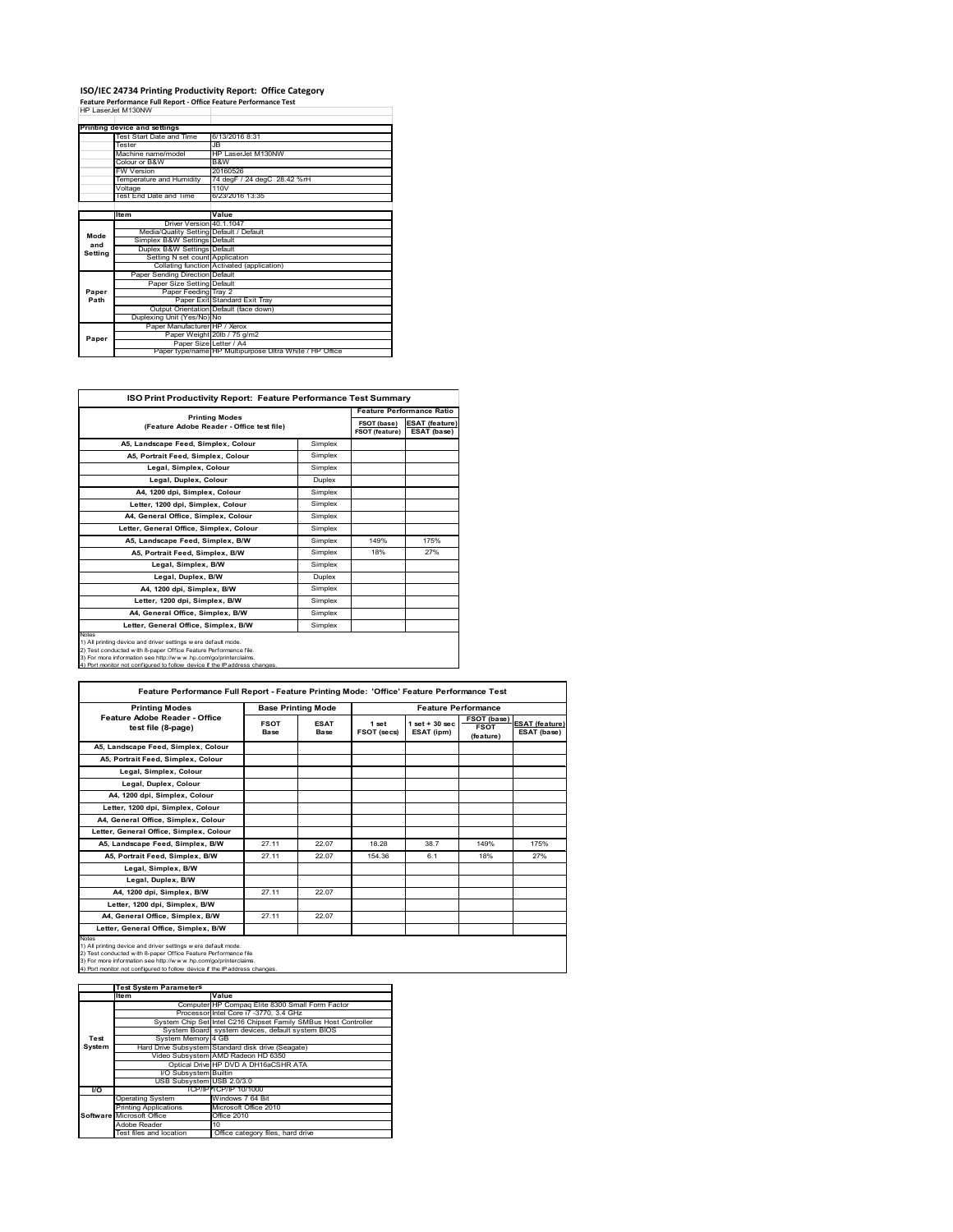### **ISO/IEC 24734 Printing Productivity Report: Office Category Feature Performance Full Report ‐ Office Feature Performance Test** HP LaserJet M130NW

|         | Printing device and settings            |                                                         |
|---------|-----------------------------------------|---------------------------------------------------------|
|         | Test Start Date and Time                | 6/13/2016 8:31                                          |
|         | Tester                                  | .IR                                                     |
|         | Machine name/model                      | HP I aser.let M130NW                                    |
|         | Colour or B&W                           | B&W                                                     |
|         | <b>FW Version</b>                       | 20160526                                                |
|         | Temperature and Humidity                | 74 degF / 24 degC 28.42 %rH                             |
|         | Voltage                                 | 110V                                                    |
|         | Test End Date and Time                  | 6/23/2016 13:35                                         |
|         |                                         |                                                         |
|         | <b>Item</b>                             | Value                                                   |
|         | Driver Version 40.1.1047                |                                                         |
| Mode    | Media/Quality Setting Default / Default |                                                         |
| and     | Simplex B&W Settings Default            |                                                         |
| Setting | Duplex B&W Settings Default             |                                                         |
|         | Setting N set count Application         |                                                         |
|         |                                         | Collating function Activated (application)              |
|         | Paper Sending Direction Default         |                                                         |
|         | Paper Size Setting Default              |                                                         |
| Paper   | Paper Feeding Tray 2                    |                                                         |
| Path    |                                         | Paper Exit Standard Exit Tray                           |
|         |                                         | Output Orientation Default (face down)                  |
|         | Duplexing Unit (Yes/No) No              |                                                         |
|         | Paper Manufacturer HP / Xerox           |                                                         |
| Paper   |                                         | Paper Weight 20lb / 75 g/m2                             |
|         | Paper Size Letter / A4                  |                                                         |
|         |                                         | Paper type/name HP Multipurpose Ultra White / HP Office |

Ĩ.

|                                                                                                                                                                                                                                                                                             |         | <b>Feature Performance Ratio</b> |                                      |  |
|---------------------------------------------------------------------------------------------------------------------------------------------------------------------------------------------------------------------------------------------------------------------------------------------|---------|----------------------------------|--------------------------------------|--|
| <b>Printing Modes</b><br>(Feature Adobe Reader - Office test file)                                                                                                                                                                                                                          |         | FSOT (base)<br>FSOT (feature)    | <b>ESAT (feature)</b><br>ESAT (base) |  |
| A5. Landscape Feed. Simplex. Colour                                                                                                                                                                                                                                                         | Simplex |                                  |                                      |  |
| A5, Portrait Feed, Simplex, Colour                                                                                                                                                                                                                                                          | Simplex |                                  |                                      |  |
| Legal, Simplex, Colour                                                                                                                                                                                                                                                                      | Simplex |                                  |                                      |  |
| Legal, Duplex, Colour                                                                                                                                                                                                                                                                       | Duplex  |                                  |                                      |  |
| A4, 1200 dpi, Simplex, Colour                                                                                                                                                                                                                                                               | Simplex |                                  |                                      |  |
| Letter, 1200 dpi, Simplex, Colour                                                                                                                                                                                                                                                           | Simplex |                                  |                                      |  |
| A4, General Office, Simplex, Colour                                                                                                                                                                                                                                                         | Simplex |                                  |                                      |  |
| Letter, General Office, Simplex, Colour                                                                                                                                                                                                                                                     | Simplex |                                  |                                      |  |
| A5, Landscape Feed, Simplex, B/W                                                                                                                                                                                                                                                            | Simplex | 149%                             | 175%                                 |  |
| A5. Portrait Feed. Simplex. B/W                                                                                                                                                                                                                                                             | Simplex | 18%                              | 27%                                  |  |
| Legal, Simplex, B/W                                                                                                                                                                                                                                                                         | Simplex |                                  |                                      |  |
| Legal, Duplex, B/W                                                                                                                                                                                                                                                                          | Duplex  |                                  |                                      |  |
| A4, 1200 dpi, Simplex, B/W                                                                                                                                                                                                                                                                  | Simplex |                                  |                                      |  |
| Letter, 1200 dpi, Simplex, B/W                                                                                                                                                                                                                                                              | Simplex |                                  |                                      |  |
| A4, General Office, Simplex, B/W                                                                                                                                                                                                                                                            | Simplex |                                  |                                      |  |
| Letter, General Office, Simplex, B/W                                                                                                                                                                                                                                                        | Simplex |                                  |                                      |  |
| Notes<br>1) All printing device and driver settings w ere default mode.<br>2) Test conducted with 8-paper Office Feature Performance file.<br>3) For more information see http://www.hp.com/go/printerclaims.<br>4) Port monitor not configured to follow device if the IP address changes. |         |                                  |                                      |  |

| <b>Printing Modes</b>                                                                                                                                                                                                                                                                      |                     | <b>Base Printing Mode</b> |                      | <b>Feature Performance</b>      |                                                |                                      |  |
|--------------------------------------------------------------------------------------------------------------------------------------------------------------------------------------------------------------------------------------------------------------------------------------------|---------------------|---------------------------|----------------------|---------------------------------|------------------------------------------------|--------------------------------------|--|
| Feature Adobe Reader - Office<br>test file (8-page)                                                                                                                                                                                                                                        | <b>FSOT</b><br>Base | <b>ESAT</b><br>Base       | 1 set<br>FSOT (secs) | $1$ set $+30$ sec<br>ESAT (ipm) | <b>FSOT (base)</b><br><b>FSOT</b><br>(feature) | <b>ESAT (feature)</b><br>ESAT (base) |  |
| A5, Landscape Feed, Simplex, Colour                                                                                                                                                                                                                                                        |                     |                           |                      |                                 |                                                |                                      |  |
| A5. Portrait Feed. Simplex. Colour                                                                                                                                                                                                                                                         |                     |                           |                      |                                 |                                                |                                      |  |
| Legal, Simplex, Colour                                                                                                                                                                                                                                                                     |                     |                           |                      |                                 |                                                |                                      |  |
| Legal, Duplex, Colour                                                                                                                                                                                                                                                                      |                     |                           |                      |                                 |                                                |                                      |  |
| A4, 1200 dpi, Simplex, Colour                                                                                                                                                                                                                                                              |                     |                           |                      |                                 |                                                |                                      |  |
| Letter, 1200 dpi, Simplex, Colour                                                                                                                                                                                                                                                          |                     |                           |                      |                                 |                                                |                                      |  |
| A4. General Office. Simplex. Colour                                                                                                                                                                                                                                                        |                     |                           |                      |                                 |                                                |                                      |  |
| Letter, General Office, Simplex, Colour                                                                                                                                                                                                                                                    |                     |                           |                      |                                 |                                                |                                      |  |
| A5, Landscape Feed, Simplex, B/W                                                                                                                                                                                                                                                           | 27.11               | 22.07                     | 18.28                | 38.7                            | 149%                                           | 175%                                 |  |
| A5, Portrait Feed, Simplex, B/W                                                                                                                                                                                                                                                            | 27 11               | 22.07                     | 154.36               | 6.1                             | 18%                                            | 27%                                  |  |
| Legal, Simplex, B/W                                                                                                                                                                                                                                                                        |                     |                           |                      |                                 |                                                |                                      |  |
| Legal, Duplex, B/W                                                                                                                                                                                                                                                                         |                     |                           |                      |                                 |                                                |                                      |  |
| A4, 1200 dpi, Simplex, B/W                                                                                                                                                                                                                                                                 | 27 11               | 22.07                     |                      |                                 |                                                |                                      |  |
| Letter, 1200 dpi, Simplex, B/W                                                                                                                                                                                                                                                             |                     |                           |                      |                                 |                                                |                                      |  |
| A4, General Office, Simplex, B/W                                                                                                                                                                                                                                                           | 27.11               | 22.07                     |                      |                                 |                                                |                                      |  |
| Letter, General Office, Simplex, B/W                                                                                                                                                                                                                                                       |                     |                           |                      |                                 |                                                |                                      |  |
| Notes<br>1) All printing device and driver settings w ere default mode.<br>2) Test conducted with 8-paper Office Feature Performance file<br>3) For more information see http://www.hp.com/go/printerclaims.<br>4) Port monitor not configured to follow device if the IP address changes. |                     |                           |                      |                                 |                                                |                                      |  |

|        | <b>Test System Parameters</b> |                                                                 |
|--------|-------------------------------|-----------------------------------------------------------------|
|        | lte m                         | Value                                                           |
|        |                               | Computer HP Compaq Elite 8300 Small Form Factor                 |
|        |                               | Processor Intel Core i7 -3770, 3.4 GHz                          |
|        |                               | System Chip Set Intel C216 Chipset Family SMBus Host Controller |
|        |                               | System Board system devices, default system BIOS                |
| Test   | System Memory 4 GB            |                                                                 |
| System |                               | Hard Drive Subsystem Standard disk drive (Seagate)              |
|        |                               | Video Subsystem AMD Radeon HD 6350                              |
|        |                               | Optical Drive HP DVD A DH16aCSHR ATA                            |
|        | I/O Subsystem Builtin         |                                                                 |
|        | USB Subsystem USB 2.0/3.0     |                                                                 |
| VO.    |                               | TCP/IPFTCP/IP 10/1000                                           |
|        | <b>Operating System</b>       | Windows 7 64 Bit                                                |
|        | <b>Printing Applications</b>  | Microsoft Office 2010                                           |
|        | Software Microsoft Office     | Office 2010                                                     |
|        | Adobe Reader                  | 10                                                              |
|        | Test files and location       | Office category files, hard drive                               |
|        |                               |                                                                 |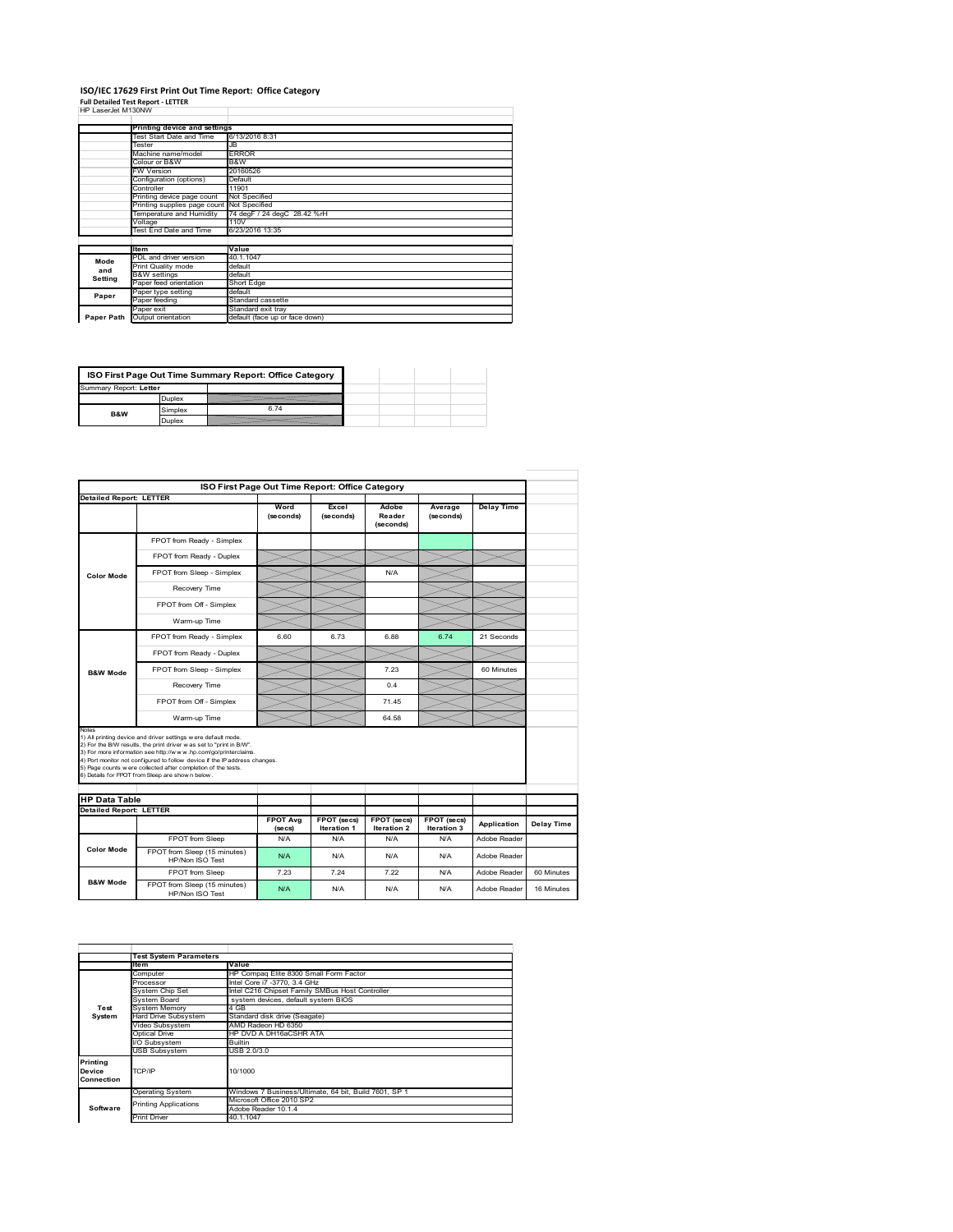# **ISO/IEC 17629 First Print Out Time Report: Office Category Full Detailed Test Report ‐ LETTER** HP LaserJet M130NW

|  | HP LaserJet M130NW |  |
|--|--------------------|--|
|  |                    |  |

| <b>HE LASENEL M ISUNYV</b> |                                            |                                |
|----------------------------|--------------------------------------------|--------------------------------|
|                            | Printing device and settings               |                                |
|                            | Test Start Date and Time                   | 6/13/2016 8:31                 |
|                            | Tester                                     | JB                             |
|                            | Machine name/model                         | <b>ERROR</b>                   |
|                            | Colour or B&W                              | B&W                            |
|                            | <b>FW Version</b>                          | 20160526                       |
|                            | Configuration (options)                    | Default                        |
|                            | Controller                                 | 11901                          |
|                            | Printing device page count                 | Not Specified                  |
|                            | Printing supplies page count Not Specified |                                |
|                            | Temperature and Humidity                   | 74 degF / 24 degC 28.42 %rH    |
|                            | Voltage                                    | 110V                           |
|                            | Test End Date and Time                     | 6/23/2016 13:35                |
|                            |                                            |                                |
|                            | <b>Item</b>                                | Value                          |
| Mode                       | PDL and driver version                     | 40.1.1047                      |
| and                        | Print Quality mode                         | default                        |
| Setting                    | <b>B&amp;W</b> settings                    | default                        |
|                            | Paper feed orientation                     | Short Edge                     |
| Paper                      | Paper type setting                         | default                        |
|                            | Paper feeding                              | Standard cassette              |
|                            | Paper exit                                 | Standard exit tray             |
| Paper Path                 | Output orientation                         | default (face up or face down) |

| ISO First Page Out Time Summary Report: Office Category |         |      |  |  |
|---------------------------------------------------------|---------|------|--|--|
| Summary Report: Letter                                  |         |      |  |  |
|                                                         | Duplex  |      |  |  |
| B&W                                                     | Simplex | 6.74 |  |  |
|                                                         | Duplex  |      |  |  |

|                                                        | ISO First Page Out Time Report: Office Category                                                                                                                                                                                                                                                                                                                                                             |                            |                            |                              |                            |                   |                   |
|--------------------------------------------------------|-------------------------------------------------------------------------------------------------------------------------------------------------------------------------------------------------------------------------------------------------------------------------------------------------------------------------------------------------------------------------------------------------------------|----------------------------|----------------------------|------------------------------|----------------------------|-------------------|-------------------|
| <b>Detailed Report: LETTER</b>                         |                                                                                                                                                                                                                                                                                                                                                                                                             |                            |                            |                              |                            |                   |                   |
|                                                        |                                                                                                                                                                                                                                                                                                                                                                                                             | Word<br>(seconds)          | Excel<br>(seconds)         | Adobe<br>Reader<br>(seconds) | Average<br>(seconds)       | <b>Delay Time</b> |                   |
|                                                        | FPOT from Ready - Simplex                                                                                                                                                                                                                                                                                                                                                                                   |                            |                            |                              |                            |                   |                   |
|                                                        | FPOT from Ready - Duplex                                                                                                                                                                                                                                                                                                                                                                                    |                            |                            |                              |                            |                   |                   |
| <b>Color Mode</b>                                      | FPOT from Sleep - Simplex                                                                                                                                                                                                                                                                                                                                                                                   |                            |                            | N/A                          |                            |                   |                   |
|                                                        | Recovery Time                                                                                                                                                                                                                                                                                                                                                                                               |                            |                            |                              |                            |                   |                   |
|                                                        | FPOT from Off - Simplex                                                                                                                                                                                                                                                                                                                                                                                     |                            |                            |                              |                            |                   |                   |
|                                                        | Warm-up Time                                                                                                                                                                                                                                                                                                                                                                                                |                            |                            |                              |                            |                   |                   |
|                                                        | FPOT from Ready - Simplex                                                                                                                                                                                                                                                                                                                                                                                   | 6.60                       | 6.73                       | 6.88                         | 6.74                       | 21 Seconds        |                   |
|                                                        | FPOT from Ready - Duplex                                                                                                                                                                                                                                                                                                                                                                                    |                            |                            |                              |                            |                   |                   |
| <b>B&amp;W Mode</b>                                    | FPOT from Sleep - Simplex                                                                                                                                                                                                                                                                                                                                                                                   |                            |                            | 7.23                         |                            | 60 Minutes        |                   |
|                                                        | Recovery Time                                                                                                                                                                                                                                                                                                                                                                                               |                            |                            | 0.4                          |                            |                   |                   |
|                                                        | FPOT from Off - Simplex                                                                                                                                                                                                                                                                                                                                                                                     |                            |                            | 71.45                        |                            |                   |                   |
|                                                        | Warm-up Time                                                                                                                                                                                                                                                                                                                                                                                                |                            |                            | 64.58                        |                            |                   |                   |
| Notes                                                  | 1) All printing device and driver settings w ere default mode.<br>2) For the B/W results, the print driver was set to "print in B/W".<br>3) For more information see http://www.hp.com/go/printerclaims.<br>4) Port monitor not configured to follow device if the IP address changes.<br>5) Page counts w ere collected after completion of the tests.<br>6) Details for FPOT from Sleep are show n below. |                            |                            |                              |                            |                   |                   |
|                                                        |                                                                                                                                                                                                                                                                                                                                                                                                             |                            |                            |                              |                            |                   |                   |
| <b>HP Data Table</b><br><b>Detailed Report: LETTER</b> |                                                                                                                                                                                                                                                                                                                                                                                                             |                            |                            |                              |                            |                   |                   |
|                                                        |                                                                                                                                                                                                                                                                                                                                                                                                             | <b>FPOT Avg</b><br>(se cs) | FPOT (secs)<br>Iteration 1 | FPOT (secs)<br>Iteration 2   | FPOT (secs)<br>Iteration 3 | Application       | <b>Delay Time</b> |
|                                                        | FPOT from Sleep                                                                                                                                                                                                                                                                                                                                                                                             | N/A                        | N/A                        | N/A                          | N/A                        | Adobe Reader      |                   |
| <b>Color Mode</b>                                      | FPOT from Sleep (15 minutes)<br>HP/Non ISO Test                                                                                                                                                                                                                                                                                                                                                             | N/A                        | N/A                        | N/A                          | N/A                        | Adobe Reader      |                   |
|                                                        | FPOT from Sleep                                                                                                                                                                                                                                                                                                                                                                                             | 7.23                       | 7 24                       | 7 22                         | N/A                        | Adobe Reader      | 60 Minutes        |
| <b>B&amp;W Mode</b>                                    | FPOT from Sleep (15 minutes)<br>HP/Non ISO Test                                                                                                                                                                                                                                                                                                                                                             | N/A                        | N/A                        | N/A                          | N/A                        | Adobe Reader      | 16 Minutes        |

|                                  | <b>Test System Parameters</b> |                                                       |  |  |  |  |  |
|----------------------------------|-------------------------------|-------------------------------------------------------|--|--|--|--|--|
|                                  | Value<br>Item                 |                                                       |  |  |  |  |  |
|                                  | Computer                      | HP Compag Elite 8300 Small Form Factor                |  |  |  |  |  |
|                                  | Processor                     | Intel Core i7 -3770, 3.4 GHz                          |  |  |  |  |  |
|                                  | System Chip Set               | Intel C216 Chipset Family SMBus Host Controller       |  |  |  |  |  |
|                                  | <b>System Board</b>           | system devices, default system BIOS                   |  |  |  |  |  |
| Test                             | System Memory                 | 4 GB                                                  |  |  |  |  |  |
| System                           | Hard Drive Subsystem          | Standard disk drive (Seagate)                         |  |  |  |  |  |
|                                  | Video Subsystem               | AMD Radeon HD 6350                                    |  |  |  |  |  |
|                                  | Optical Drive                 | HP DVD A DH16aCSHR ATA                                |  |  |  |  |  |
|                                  | I/O Subsystem                 | <b>Builtin</b>                                        |  |  |  |  |  |
|                                  | <b>USB Subsystem</b>          | USB 2.0/3.0                                           |  |  |  |  |  |
| Printing<br>Device<br>Connection | TCP/IP                        | 10/1000                                               |  |  |  |  |  |
|                                  | <b>Operating System</b>       | Windows 7 Business/Ultimate, 64 bit, Build 7601, SP 1 |  |  |  |  |  |
|                                  | <b>Printing Applications</b>  | Microsoft Office 2010 SP2                             |  |  |  |  |  |
| Software                         |                               | Adobe Reader 10.1.4                                   |  |  |  |  |  |
|                                  | <b>Print Driver</b>           | 40.1.1047                                             |  |  |  |  |  |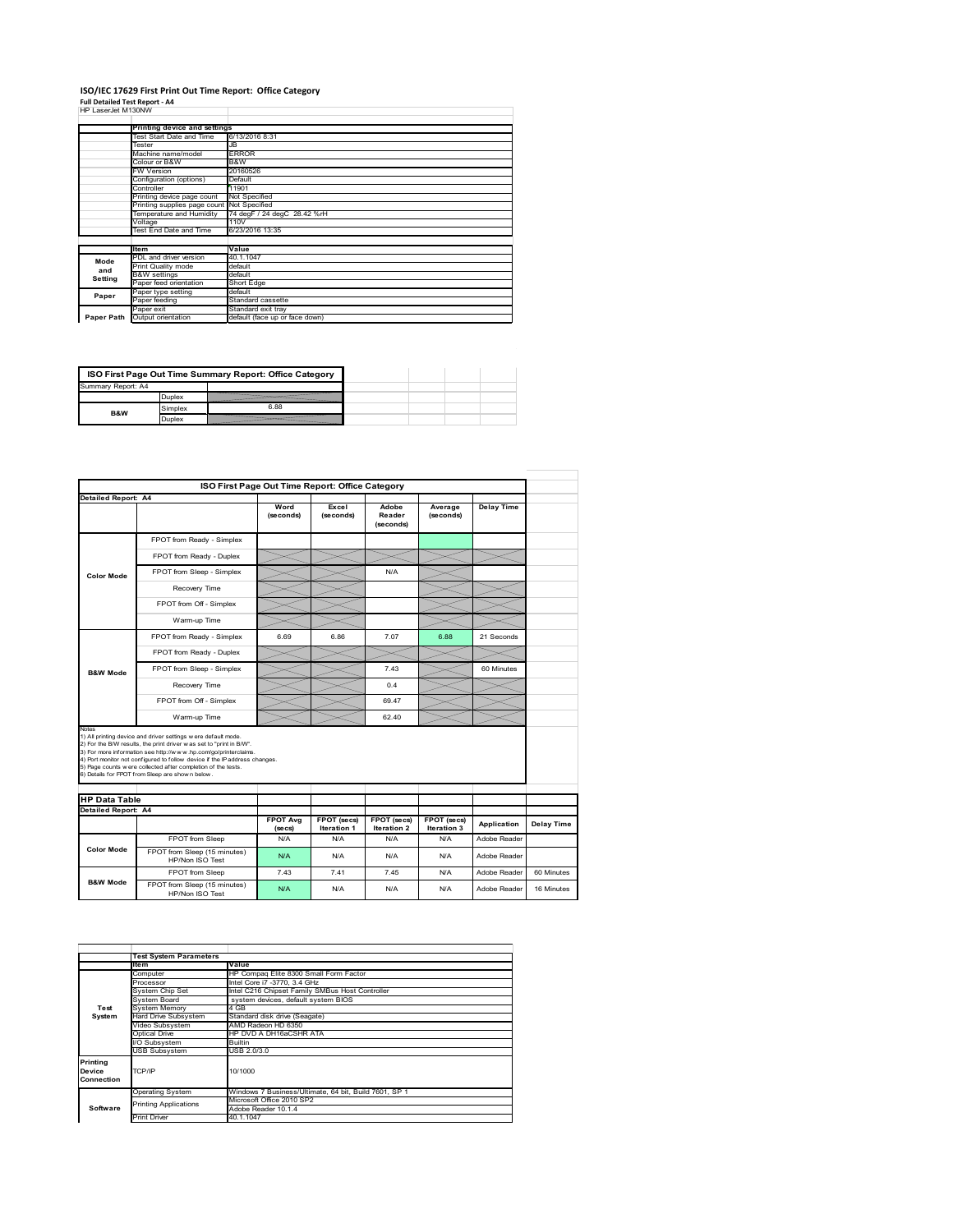#### **ISO/IEC 17629 First Print Out Time Report: Office Category Full Detailed Test Report ‐ A4** HP LaserJet M130NW

| HP LaserJet M130NW |                              |                                              |  |  |
|--------------------|------------------------------|----------------------------------------------|--|--|
|                    |                              |                                              |  |  |
|                    | Printing device and settings |                                              |  |  |
|                    | Test Start Date and Time     | 6/13/2016 8:31                               |  |  |
|                    | Tester                       | JB                                           |  |  |
|                    | Machine name/model           | <b>ERROR</b>                                 |  |  |
|                    | Colour or B&W                | B&W                                          |  |  |
|                    | <b>FW Version</b>            | 20160526                                     |  |  |
|                    | Configuration (options)      | Default                                      |  |  |
|                    | Controller                   | 11901                                        |  |  |
|                    | Printing device page count   | Not Specified                                |  |  |
|                    | Printing supplies page count | Not Specified<br>74 degF / 24 degC 28.42 %rH |  |  |
|                    | Temperature and Humidity     |                                              |  |  |
|                    | Voltage                      | 110V                                         |  |  |
|                    | Test End Date and Time       | 6/23/2016 13:35                              |  |  |
|                    |                              |                                              |  |  |
|                    | <b>Item</b>                  | Value                                        |  |  |
| Mode               | PDL and driver version       | 40.1.1047                                    |  |  |
| and                | Print Quality mode           | default                                      |  |  |
| Setting            | <b>B&amp;W</b> settings      | default                                      |  |  |
|                    | Paper feed orientation       | Short Edge                                   |  |  |
| Paper              | Paper type setting           | default                                      |  |  |
|                    | Paper feeding                | Standard cassette                            |  |  |
|                    | Paper exit                   | Standard exit trav                           |  |  |
| Paper Path         | Output orientation           | default (face up or face down)               |  |  |

| ISO First Page Out Time Summary Report: Office Category |         |      |  |  |
|---------------------------------------------------------|---------|------|--|--|
| Summary Report: A4                                      |         |      |  |  |
|                                                         | Duplex  |      |  |  |
| B&W                                                     | Simplex | 6.88 |  |  |
|                                                         | Juplex  |      |  |  |

|                            | ISO First Page Out Time Report: Office Category                                                                                                                                                                                                                                                                                                                                                             |                            |                                   |                                   |                            |                   |            |
|----------------------------|-------------------------------------------------------------------------------------------------------------------------------------------------------------------------------------------------------------------------------------------------------------------------------------------------------------------------------------------------------------------------------------------------------------|----------------------------|-----------------------------------|-----------------------------------|----------------------------|-------------------|------------|
| <b>Detailed Report: A4</b> |                                                                                                                                                                                                                                                                                                                                                                                                             |                            |                                   |                                   |                            |                   |            |
|                            |                                                                                                                                                                                                                                                                                                                                                                                                             | Word<br>(seconds)          | Excel<br>(seconds)                | Adobe<br>Reader<br>(seconds)      | Average<br>(seconds)       | <b>Delay Time</b> |            |
|                            | FPOT from Ready - Simplex                                                                                                                                                                                                                                                                                                                                                                                   |                            |                                   |                                   |                            |                   |            |
|                            | FPOT from Ready - Duplex                                                                                                                                                                                                                                                                                                                                                                                    |                            |                                   |                                   |                            |                   |            |
| <b>Color Mode</b>          | FPOT from Sleep - Simplex                                                                                                                                                                                                                                                                                                                                                                                   |                            |                                   | N/A                               |                            |                   |            |
|                            | Recovery Time                                                                                                                                                                                                                                                                                                                                                                                               |                            |                                   |                                   |                            |                   |            |
|                            | FPOT from Off - Simplex                                                                                                                                                                                                                                                                                                                                                                                     |                            |                                   |                                   |                            |                   |            |
|                            | Warm-up Time                                                                                                                                                                                                                                                                                                                                                                                                |                            |                                   |                                   |                            |                   |            |
|                            | FPOT from Ready - Simplex                                                                                                                                                                                                                                                                                                                                                                                   | 6.69                       | 6.86                              | 7.07                              | 6.88                       | 21 Seconds        |            |
|                            | FPOT from Ready - Duplex                                                                                                                                                                                                                                                                                                                                                                                    |                            |                                   |                                   |                            |                   |            |
| <b>B&amp;W Mode</b>        | FPOT from Sleep - Simplex                                                                                                                                                                                                                                                                                                                                                                                   |                            |                                   | 7.43                              |                            | 60 Minutes        |            |
|                            | Recovery Time                                                                                                                                                                                                                                                                                                                                                                                               |                            |                                   | 0.4                               |                            |                   |            |
|                            | FPOT from Off - Simplex                                                                                                                                                                                                                                                                                                                                                                                     |                            |                                   | 69.47                             |                            |                   |            |
|                            | Warm-up Time                                                                                                                                                                                                                                                                                                                                                                                                |                            |                                   | 62 40                             |                            |                   |            |
| Notes                      | 1) All printing device and driver settings w ere default mode.<br>2) For the B/W results, the print driver was set to "print in B/W".<br>3) For more information see http://www.hp.com/go/printerclaims.<br>4) Port monitor not configured to follow device if the IP address changes.<br>5) Page counts w ere collected after completion of the tests.<br>6) Details for FPOT from Sleep are show n below. |                            |                                   |                                   |                            |                   |            |
| <b>HP Data Table</b>       |                                                                                                                                                                                                                                                                                                                                                                                                             |                            |                                   |                                   |                            |                   |            |
| Detailed Report: A4        |                                                                                                                                                                                                                                                                                                                                                                                                             |                            |                                   |                                   |                            |                   |            |
|                            |                                                                                                                                                                                                                                                                                                                                                                                                             | <b>FPOT Avg</b><br>(se cs) | FPOT (secs)<br><b>Iteration 1</b> | FPOT (secs)<br><b>Iteration 2</b> | FPOT (secs)<br>Iteration 3 | Application       | Delay Time |
|                            | FPOT from Sleep                                                                                                                                                                                                                                                                                                                                                                                             | N/A                        | N/A                               | N/A                               | N/A                        | Adobe Reader      |            |
| <b>Color Mode</b>          | FPOT from Sleep (15 minutes)<br>HP/Non ISO Test                                                                                                                                                                                                                                                                                                                                                             | N/A                        | N/A                               | N/A                               | N/A                        | Adobe Reader      |            |
|                            | FPOT from Sleep                                                                                                                                                                                                                                                                                                                                                                                             | 7.43                       | 741                               | 745                               | N/A                        | Adobe Reader      | 60 Minutes |
| <b>B&amp;W Mode</b>        | FPOT from Sleep (15 minutes)<br>HP/Non ISO Test                                                                                                                                                                                                                                                                                                                                                             | N/A                        | N/A                               | N/A                               | N/A                        | Adobe Reader      | 16 Minutes |

|                                  | <b>Test System Parameters</b> |                                                       |  |  |  |
|----------------------------------|-------------------------------|-------------------------------------------------------|--|--|--|
|                                  | Item                          | Value                                                 |  |  |  |
|                                  | Computer                      | HP Compaq Elite 8300 Small Form Factor                |  |  |  |
|                                  | Processor                     | Intel Core i7 -3770, 3.4 GHz                          |  |  |  |
|                                  | System Chip Set               | Intel C216 Chipset Family SMBus Host Controller       |  |  |  |
|                                  | System Board                  | system devices, default system BIOS                   |  |  |  |
| Test                             | System Memory                 | 4 GB                                                  |  |  |  |
| System                           | Hard Drive Subsystem          | Standard disk drive (Seagate)                         |  |  |  |
|                                  | Video Subsystem               | AMD Radeon HD 6350                                    |  |  |  |
|                                  | Optical Drive                 | HP DVD A DH16aCSHR ATA                                |  |  |  |
|                                  | I/O Subsystem                 | <b>Builtin</b>                                        |  |  |  |
|                                  | <b>USB Subsystem</b>          | USB 2.0/3.0                                           |  |  |  |
| Printina<br>Device<br>Connection | TCP/IP                        | 10/1000                                               |  |  |  |
|                                  | <b>Operating System</b>       | Windows 7 Business/Ultimate, 64 bit, Build 7601, SP 1 |  |  |  |
|                                  | <b>Printing Applications</b>  | Microsoft Office 2010 SP2                             |  |  |  |
| Software                         |                               | Adobe Reader 10.1.4                                   |  |  |  |
|                                  | <b>Print Driver</b>           | 40.1.1047                                             |  |  |  |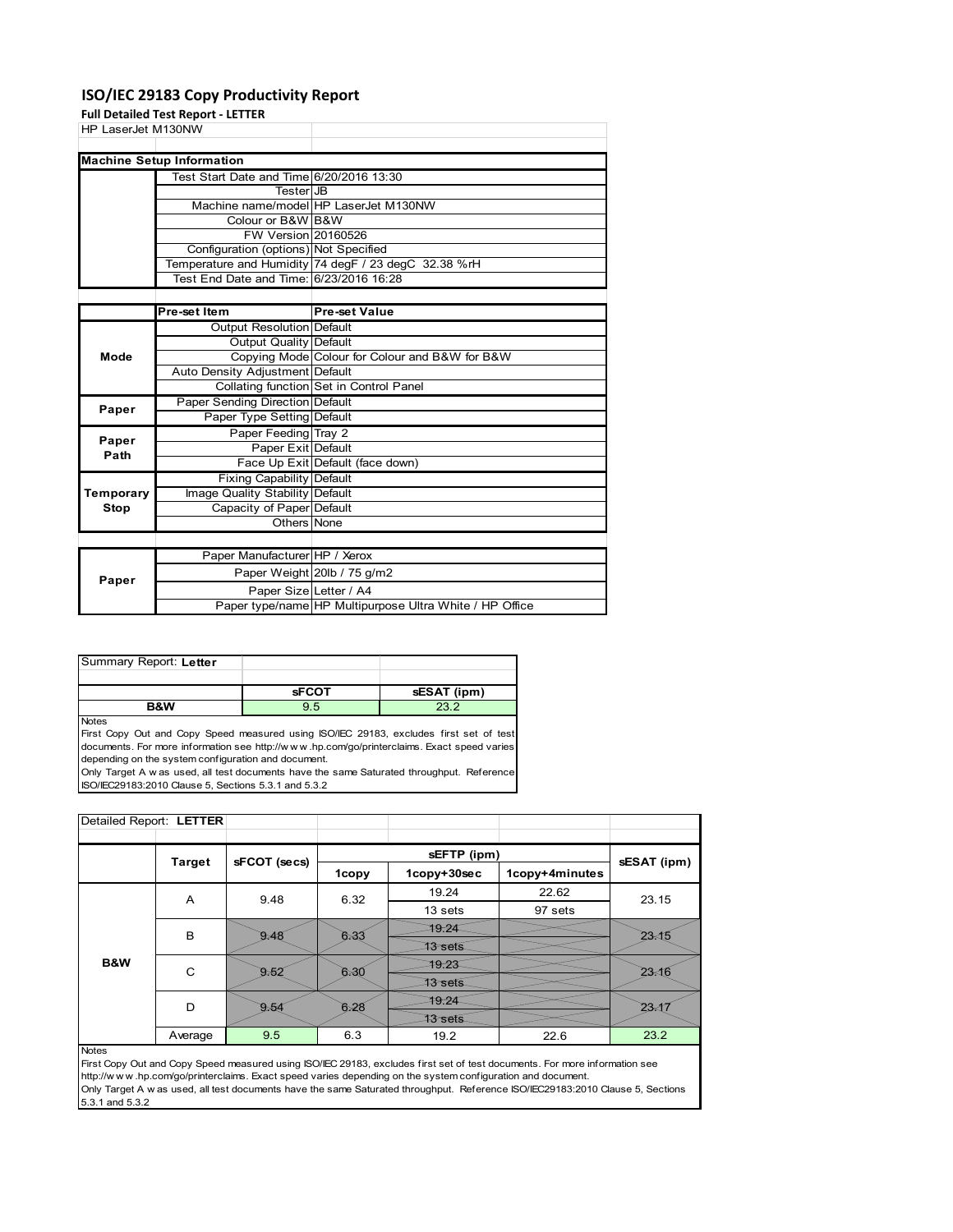#### **ISO/IEC 29183 Copy Productivity Report**

**Full Detailed Test Report ‐ LETTER**

|                    | rull Detailed Test Report - LETTER       |                                                         |
|--------------------|------------------------------------------|---------------------------------------------------------|
| HP LaserJet M130NW |                                          |                                                         |
|                    |                                          |                                                         |
|                    | <b>Machine Setup Information</b>         |                                                         |
|                    | Test Start Date and Time 6/20/2016 13:30 |                                                         |
|                    | <b>Tester</b> JB                         |                                                         |
|                    |                                          | Machine name/model HP LaserJet M130NW                   |
|                    | Colour or B&W B&W                        |                                                         |
|                    | <b>FW Version 20160526</b>               |                                                         |
|                    | Configuration (options) Not Specified    |                                                         |
|                    |                                          | Temperature and Humidity 74 degF / 23 degC 32.38 %rH    |
|                    | Test End Date and Time: 6/23/2016 16:28  |                                                         |
|                    |                                          |                                                         |
|                    | Pre-set Item                             | Pre-set Value                                           |
|                    | Output Resolution Default                |                                                         |
|                    | Output Quality Default                   |                                                         |
| Mode               |                                          | Copying Mode Colour for Colour and B&W for B&W          |
|                    | Auto Density Adjustment Default          |                                                         |
|                    |                                          | Collating function Set in Control Panel                 |
| Paper              | Paper Sending Direction Default          |                                                         |
|                    | Paper Type Setting Default               |                                                         |
| Paper              | Paper Feeding Tray 2                     |                                                         |
| Path               | Paper Exit Default                       |                                                         |
|                    |                                          | Face Up Exit Default (face down)                        |
|                    | <b>Fixing Capability Default</b>         |                                                         |
| Temporary          | Image Quality Stability Default          |                                                         |
| Stop               | Capacity of Paper Default                |                                                         |
|                    | Others None                              |                                                         |
|                    |                                          |                                                         |
|                    | Paper Manufacturer HP / Xerox            |                                                         |
|                    |                                          | Paper Weight 20lb / 75 g/m2                             |
| Paper              | Paper Size Letter / A4                   |                                                         |
|                    |                                          | Paper type/name HP Multipurpose Ultra White / HP Office |

| Summary Report: Letter |              |             |
|------------------------|--------------|-------------|
|                        |              |             |
|                        | <b>SFCOT</b> | sESAT (ipm) |
|                        |              |             |

**Notes** 

First Copy Out and Copy Speed measured using ISO/IEC 29183, excludes first set of test documents. For more information see http://w w w .hp.com/go/printerclaims. Exact speed varies depending on the system configuration and document.

Only Target A w as used, all test documents have the same Saturated throughput. Reference ISO/IEC29183:2010 Clause 5, Sections 5.3.1 and 5.3.2

| Detailed Report: LETTER |               |              |       |                |                |             |  |
|-------------------------|---------------|--------------|-------|----------------|----------------|-------------|--|
|                         |               |              |       |                |                |             |  |
|                         | <b>Target</b> | sFCOT (secs) |       | sEFTP (ipm)    |                |             |  |
|                         |               |              | 1copy | 1copy+30sec    | 1copy+4minutes | sESAT (ipm) |  |
|                         | A             | 9.48         | 6.32  | 19.24          | 22.62          | 23.15       |  |
|                         |               |              |       | 13 sets        | 97 sets        |             |  |
|                         | B             | 9.48         | 6.33  | 79.24          |                | 23.15       |  |
|                         |               |              |       | 13 sets        |                |             |  |
| B&W                     | C             | 9.52         | 6.30  | 79.23          |                | 23.16       |  |
|                         |               |              |       | 13 sets        |                |             |  |
|                         | D             | 9.54         | 6.28  | 79.24          |                | 23.1        |  |
|                         |               |              |       | <b>13 sets</b> |                |             |  |
|                         | Average       | 9.5          | 6.3   | 19.2           | 22.6           | 23.2        |  |

Notes

First Copy Out and Copy Speed measured using ISO/IEC 29183, excludes first set of test documents. For more information see http://w w w .hp.com/go/printerclaims. Exact speed varies depending on the system configuration and document. Only Target A w as used, all test documents have the same Saturated throughput. Reference ISO/IEC29183:2010 Clause 5, Sections 5.3.1 and 5.3.2